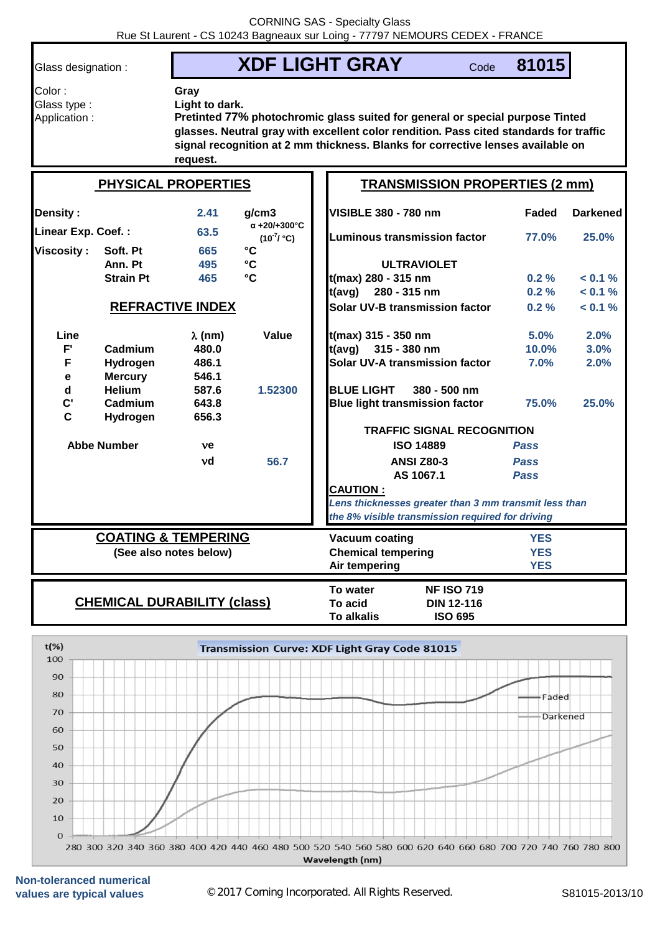Color : **Gray**

Glass designation : **XDF LIGHT GRAY** 

Code **81015**

Glass type : **Light to dark.**

Application : **Pretinted 77% photochromic glass suited for general or special purpose Tinted glasses. Neutral gray with excellent color rendition. Pass cited standards for traffic signal recognition at 2 mm thickness. Blanks for corrective lenses available on request.**

| <b>PHYSICAL PROPERTIES</b>         |                  |                |                              | <b>TRANSMISSION PROPERTIES (2 mm)</b>                 |              |                 |  |  |
|------------------------------------|------------------|----------------|------------------------------|-------------------------------------------------------|--------------|-----------------|--|--|
| <b>Density:</b>                    |                  | 2.41           | q/cm3<br>$\alpha$ +20/+300°C | <b>VISIBLE 380 - 780 nm</b>                           | <b>Faded</b> | <b>Darkened</b> |  |  |
| Linear Exp. Coef.:                 |                  | 63.5           | $(10^{-7}/ {}^{\circ}C)$     | Luminous transmission factor                          | 77.0%        | 25.0%           |  |  |
| <b>Viscosity:</b>                  | Soft. Pt         | 665            | $\rm ^{\circ}C$              |                                                       |              |                 |  |  |
|                                    | Ann. Pt          | 495            | $\mathbf{C}$                 | <b>ULTRAVIOLET</b>                                    |              |                 |  |  |
|                                    | <b>Strain Pt</b> | 465            | °C                           | t(max) 280 - 315 nm                                   | $0.2 \%$     | $< 0.1 \%$      |  |  |
|                                    |                  |                |                              | $t(avg)$ 280 - 315 nm                                 | $0.2 \%$     | $< 0.1 \%$      |  |  |
| <b>REFRACTIVE INDEX</b>            |                  |                |                              | Solar UV-B transmission factor                        | $0.2 \%$     | $< 0.1 \%$      |  |  |
| Line                               |                  | $\lambda$ (nm) | Value                        | t(max) 315 - 350 nm                                   | 5.0%         | 2.0%            |  |  |
| $F^{\prime}$                       | Cadmium          | 480.0          |                              | $t(avg)$ 315 - 380 nm                                 | 10.0%        | 3.0%            |  |  |
| F                                  | Hydrogen         | 486.1          |                              | Solar UV-A transmission factor                        | 7.0%         | 2.0%            |  |  |
| е                                  | <b>Mercury</b>   | 546.1          |                              |                                                       |              |                 |  |  |
| $\mathbf d$                        | <b>Helium</b>    | 587.6          | 1.52300                      | <b>BLUE LIGHT</b><br>$380 - 500$ nm                   |              |                 |  |  |
| $\mathbf{C}^{\prime}$              | Cadmium          | 643.8          |                              | <b>Blue light transmission factor</b>                 | 75.0%        | 25.0%           |  |  |
| $\mathbf C$                        | Hydrogen         | 656.3          |                              |                                                       |              |                 |  |  |
|                                    |                  |                |                              | <b>TRAFFIC SIGNAL RECOGNITION</b>                     |              |                 |  |  |
| <b>Abbe Number</b>                 |                  | ve             |                              | <b>ISO 14889</b>                                      | <b>Pass</b>  |                 |  |  |
|                                    |                  | vd             | 56.7                         | <b>ANSI Z80-3</b>                                     | <b>Pass</b>  |                 |  |  |
|                                    |                  |                |                              | AS 1067.1                                             | <b>Pass</b>  |                 |  |  |
|                                    |                  |                |                              | <b>CAUTION:</b>                                       |              |                 |  |  |
|                                    |                  |                |                              | Lens thicknesses greater than 3 mm transmit less than |              |                 |  |  |
|                                    |                  |                |                              | the 8% visible transmission required for driving      |              |                 |  |  |
| <b>COATING &amp; TEMPERING</b>     |                  |                |                              | <b>Vacuum coating</b><br><b>YES</b>                   |              |                 |  |  |
| (See also notes below)             |                  |                | <b>Chemical tempering</b>    | <b>YES</b>                                            |              |                 |  |  |
|                                    |                  |                |                              | Air tempering                                         | <b>YES</b>   |                 |  |  |
|                                    |                  |                |                              | To water<br><b>NF ISO 719</b>                         |              |                 |  |  |
| <b>CHEMICAL DURABILITY (class)</b> |                  |                |                              | To acid<br><b>DIN 12-116</b>                          |              |                 |  |  |
|                                    |                  |                |                              | <b>ISO 695</b><br><b>To alkalis</b>                   |              |                 |  |  |